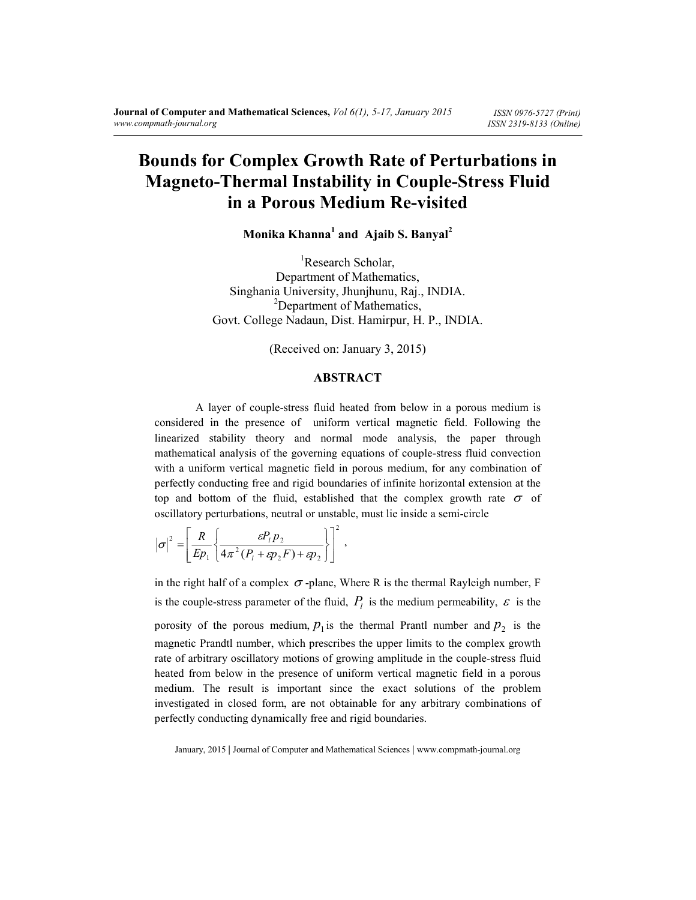# **Bounds for Complex Growth Rate of Perturbations in Magneto-Thermal Instability in Couple-Stress Fluid in a Porous Medium Re-visited**

**Monika Khanna<sup>1</sup> and Ajaib S. Banyal<sup>2</sup>**

<sup>1</sup>Research Scholar, Department of Mathematics, Singhania University, Jhunjhunu, Raj., INDIA. <sup>2</sup>Department of Mathematics, Govt. College Nadaun, Dist. Hamirpur, H. P., INDIA.

(Received on: January 3, 2015)

#### **ABSTRACT**

 A layer of couple-stress fluid heated from below in a porous medium is considered in the presence of uniform vertical magnetic field. Following the linearized stability theory and normal mode analysis, the paper through mathematical analysis of the governing equations of couple-stress fluid convection with a uniform vertical magnetic field in porous medium, for any combination of perfectly conducting free and rigid boundaries of infinite horizontal extension at the top and bottom of the fluid, established that the complex growth rate  $\sigma$  of oscillatory perturbations, neutral or unstable, must lie inside a semi-circle

$$
|\sigma|^2 = \left[\frac{R}{Ep_1}\left\{\frac{\varepsilon P_1 p_2}{4\pi^2(P_1 + \varepsilon p_2 F) + \varepsilon p_2}\right\}\right]^2,
$$

in the right half of a complex  $\sigma$ -plane, Where R is the thermal Rayleigh number, F is the couple-stress parameter of the fluid,  $P_l$  is the medium permeability,  $\varepsilon$  is the porosity of the porous medium,  $p_1$  is the thermal Prantl number and  $p_2$  is the magnetic Prandtl number, which prescribes the upper limits to the complex growth rate of arbitrary oscillatory motions of growing amplitude in the couple-stress fluid heated from below in the presence of uniform vertical magnetic field in a porous medium. The result is important since the exact solutions of the problem investigated in closed form, are not obtainable for any arbitrary combinations of perfectly conducting dynamically free and rigid boundaries.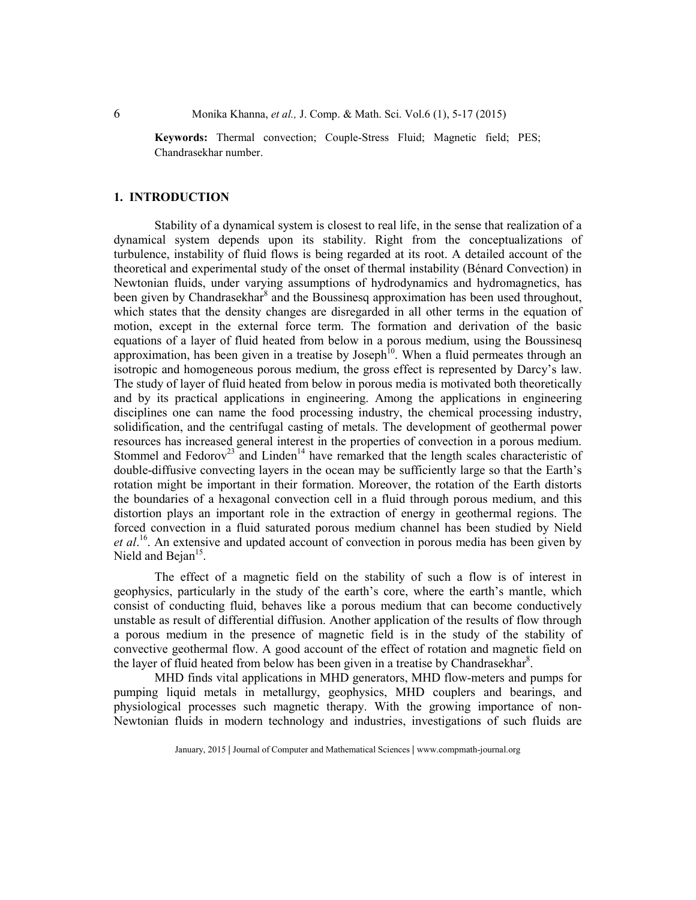6 Monika Khanna, *et al.,* J. Comp. & Math. Sci. Vol.6 (1), 5-17 (2015)

**Keywords:** Thermal convection; Couple-Stress Fluid; Magnetic field; PES; Chandrasekhar number.

## **1. INTRODUCTION**

 Stability of a dynamical system is closest to real life, in the sense that realization of a dynamical system depends upon its stability. Right from the conceptualizations of turbulence, instability of fluid flows is being regarded at its root. A detailed account of the theoretical and experimental study of the onset of thermal instability (Bénard Convection) in Newtonian fluids, under varying assumptions of hydrodynamics and hydromagnetics, has been given by Chandrasekhar<sup>8</sup> and the Boussinesq approximation has been used throughout, which states that the density changes are disregarded in all other terms in the equation of motion, except in the external force term. The formation and derivation of the basic equations of a layer of fluid heated from below in a porous medium, using the Boussinesq approximation, has been given in a treatise by Joseph<sup>10</sup>. When a fluid permeates through an isotropic and homogeneous porous medium, the gross effect is represented by Darcy's law. The study of layer of fluid heated from below in porous media is motivated both theoretically and by its practical applications in engineering. Among the applications in engineering disciplines one can name the food processing industry, the chemical processing industry, solidification, and the centrifugal casting of metals. The development of geothermal power resources has increased general interest in the properties of convection in a porous medium. Stommel and Fedorov<sup>23</sup> and Linden<sup>14</sup> have remarked that the length scales characteristic of double-diffusive convecting layers in the ocean may be sufficiently large so that the Earth's rotation might be important in their formation. Moreover, the rotation of the Earth distorts the boundaries of a hexagonal convection cell in a fluid through porous medium, and this distortion plays an important role in the extraction of energy in geothermal regions. The forced convection in a fluid saturated porous medium channel has been studied by Nield *et al*. <sup>16</sup>. An extensive and updated account of convection in porous media has been given by Nield and Bejan $15$ .

 The effect of a magnetic field on the stability of such a flow is of interest in geophysics, particularly in the study of the earth's core, where the earth's mantle, which consist of conducting fluid, behaves like a porous medium that can become conductively unstable as result of differential diffusion. Another application of the results of flow through a porous medium in the presence of magnetic field is in the study of the stability of convective geothermal flow. A good account of the effect of rotation and magnetic field on the layer of fluid heated from below has been given in a treatise by Chandrasekhar<sup>8</sup>.

 MHD finds vital applications in MHD generators, MHD flow-meters and pumps for pumping liquid metals in metallurgy, geophysics, MHD couplers and bearings, and physiological processes such magnetic therapy. With the growing importance of non-Newtonian fluids in modern technology and industries, investigations of such fluids are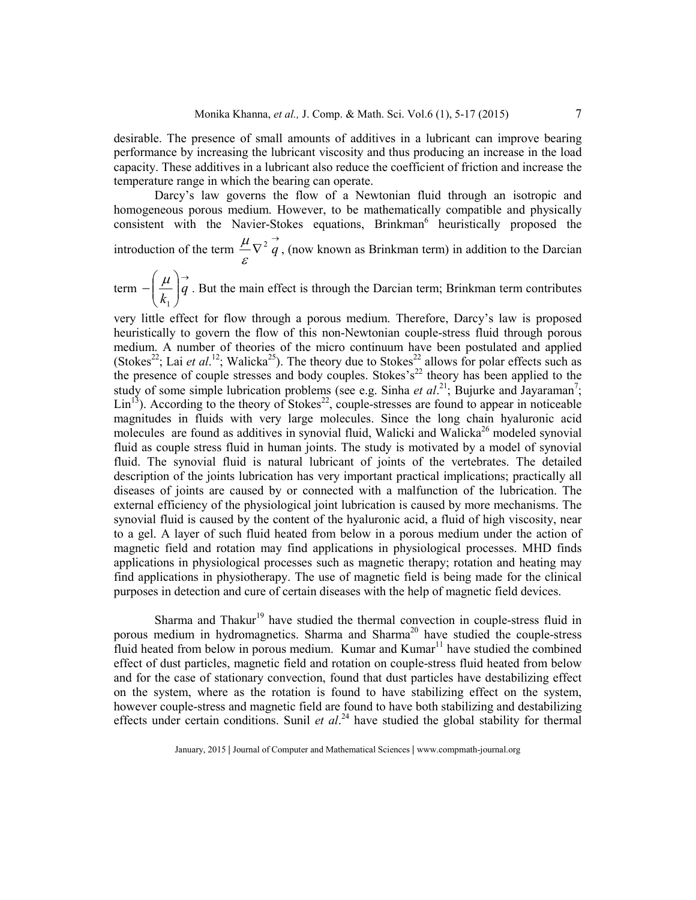desirable. The presence of small amounts of additives in a lubricant can improve bearing performance by increasing the lubricant viscosity and thus producing an increase in the load capacity. These additives in a lubricant also reduce the coefficient of friction and increase the temperature range in which the bearing can operate.

Darcy's law governs the flow of a Newtonian fluid through an isotropic and homogeneous porous medium. However, to be mathematically compatible and physically consistent with the Navier-Stokes equations, Brinkman<sup>6</sup> heuristically proposed the introduction of the term  $\nabla^2 \vec{q}$  $\frac{\mu}{\sqrt{2}}\vec{q}$ , (now known as Brinkman term) in addition to the Darcian

term →  $\overline{\phantom{a}}$ J  $\backslash$  $\overline{\phantom{a}}$  $\setminus$ ſ  $-|\frac{\mu}{\mu}|q$  $k_{1}$  $\frac{\mu}{I}$   $\vec{q}$ . But the main effect is through the Darcian term; Brinkman term contributes

ε

very little effect for flow through a porous medium. Therefore, Darcy's law is proposed heuristically to govern the flow of this non-Newtonian couple-stress fluid through porous medium. A number of theories of the micro continuum have been postulated and applied (Stokes<sup>22</sup>; Lai *et al.*<sup>12</sup>; Walicka<sup>25</sup>). The theory due to Stokes<sup>22</sup> allows for polar effects such as the presence of couple stresses and body couples. Stokes's<sup>22</sup> theory has been applied to the study of some simple lubrication problems (see e.g. Sinha *et al.*<sup>21</sup>; Bujurke and Jayaraman<sup>7</sup>;  $\text{Lin}^{13}$ ). According to the theory of Stokes<sup>22</sup>, couple-stresses are found to appear in noticeable magnitudes in fluids with very large molecules. Since the long chain hyaluronic acid molecules are found as additives in synovial fluid, Walicki and Walicka<sup>26</sup> modeled synovial fluid as couple stress fluid in human joints. The study is motivated by a model of synovial fluid. The synovial fluid is natural lubricant of joints of the vertebrates. The detailed description of the joints lubrication has very important practical implications; practically all diseases of joints are caused by or connected with a malfunction of the lubrication. The external efficiency of the physiological joint lubrication is caused by more mechanisms. The synovial fluid is caused by the content of the hyaluronic acid, a fluid of high viscosity, near to a gel. A layer of such fluid heated from below in a porous medium under the action of magnetic field and rotation may find applications in physiological processes. MHD finds applications in physiological processes such as magnetic therapy; rotation and heating may find applications in physiotherapy. The use of magnetic field is being made for the clinical purposes in detection and cure of certain diseases with the help of magnetic field devices.

Sharma and Thakur<sup>19</sup> have studied the thermal convection in couple-stress fluid in porous medium in hydromagnetics. Sharma and Sharma<sup>20</sup> have studied the couple-stress fluid heated from below in porous medium. Kumar and  $Kumar<sup>11</sup>$  have studied the combined effect of dust particles, magnetic field and rotation on couple-stress fluid heated from below and for the case of stationary convection, found that dust particles have destabilizing effect on the system, where as the rotation is found to have stabilizing effect on the system, however couple-stress and magnetic field are found to have both stabilizing and destabilizing effects under certain conditions. Sunil *et al.*<sup>24</sup> have studied the global stability for thermal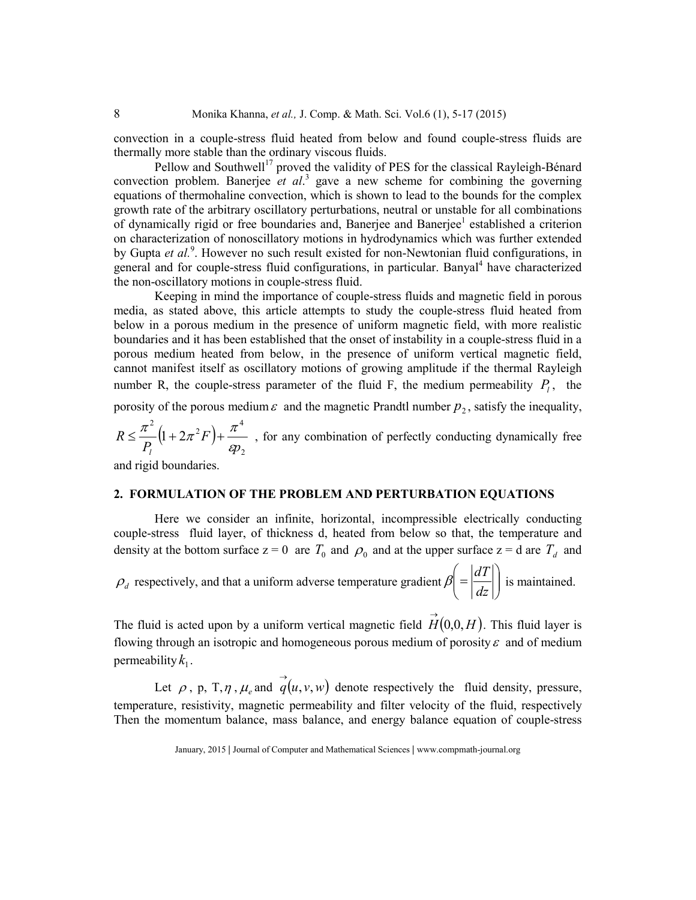convection in a couple-stress fluid heated from below and found couple-stress fluids are thermally more stable than the ordinary viscous fluids.

Pellow and Southwell<sup>17</sup> proved the validity of PES for the classical Rayleigh-Bénard convection problem. Banerjee *et al*. 3 gave a new scheme for combining the governing equations of thermohaline convection, which is shown to lead to the bounds for the complex growth rate of the arbitrary oscillatory perturbations, neutral or unstable for all combinations of dynamically rigid or free boundaries and, Banerjee and Banerjee<sup>1</sup> established a criterion on characterization of nonoscillatory motions in hydrodynamics which was further extended by Gupta et al.<sup>9</sup>. However no such result existed for non-Newtonian fluid configurations, in general and for couple-stress fluid configurations, in particular. Banyal<sup>4</sup> have characterized the non-oscillatory motions in couple-stress fluid.

 Keeping in mind the importance of couple-stress fluids and magnetic field in porous media, as stated above, this article attempts to study the couple-stress fluid heated from below in a porous medium in the presence of uniform magnetic field, with more realistic boundaries and it has been established that the onset of instability in a couple-stress fluid in a porous medium heated from below, in the presence of uniform vertical magnetic field, cannot manifest itself as oscillatory motions of growing amplitude if the thermal Rayleigh number R, the couple-stress parameter of the fluid F, the medium permeability  $P_l$ , the

porosity of the porous medium  $\varepsilon$  and the magnetic Prandtl number  $p_2$ , satisfy the inequality,

$$
R \le \frac{\pi^2}{P_l} \left( 1 + 2\pi^2 F \right) + \frac{\pi^4}{\epsilon p_2}
$$
, for any combination of perfectly conducting dynamically free

and rigid boundaries.

## **2. FORMULATION OF THE PROBLEM AND PERTURBATION EQUATIONS**

 Here we consider an infinite, horizontal, incompressible electrically conducting couple-stress fluid layer, of thickness d, heated from below so that, the temperature and density at the bottom surface  $z = 0$  are  $T_0$  and  $\rho_0$  and at the upper surface  $z = d$  are  $T_d$  and

 $\rho_d$  respectively, and that a uniform adverse temperature gradient  $\beta = \left| \frac{d\mathbf{x}}{d\mathbf{x}} \right|$ J  $\setminus$  $\overline{\phantom{a}}$  $\setminus$  $\Big($ *dz*  $\beta = \left| \frac{dT}{dt} \right|$  is maintained.

The fluid is acted upon by a uniform vertical magnetic field  $\overrightarrow{H}(0,0,H)$ . This fluid layer is flowing through an isotropic and homogeneous porous medium of porosity  $\varepsilon$  and of medium permeability  $k_1$ .

Let  $\rho$ , p, T,  $\eta$ ,  $\mu_e$  and  $\vec{q}(u, v, w)$  denote respectively the fluid density, pressure, temperature, resistivity, magnetic permeability and filter velocity of the fluid, respectively Then the momentum balance, mass balance, and energy balance equation of couple-stress

January, 2015 **|** Journal of Computer and Mathematical Sciences **|** www.compmath-journal.org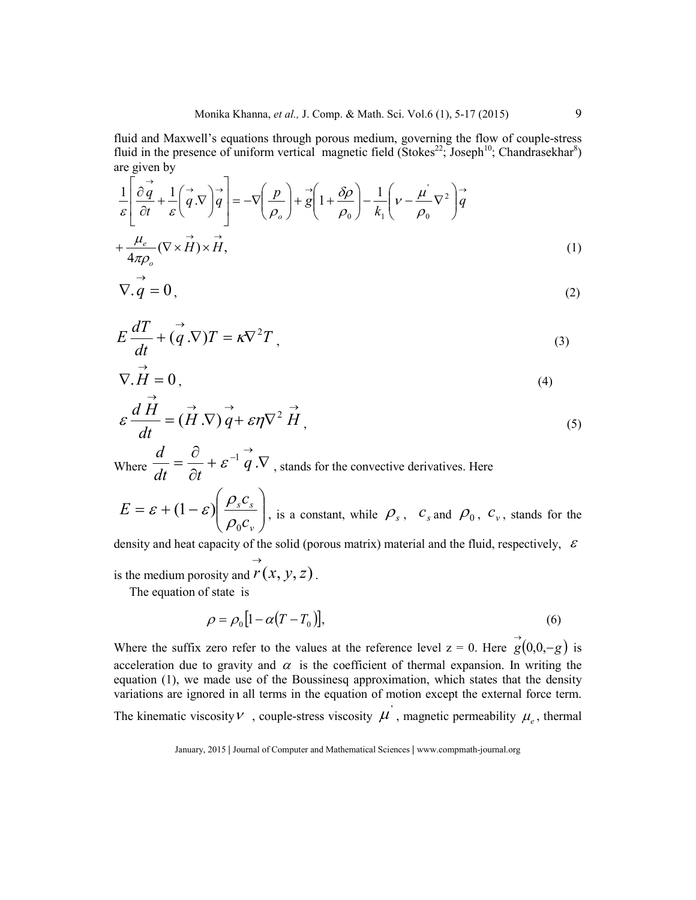fluid and Maxwell's equations through porous medium, governing the flow of couple-stress fluid in the presence of uniform vertical magnetic field (Stokes<sup>22</sup>; Joseph<sup>10</sup>; Chandrasekhar<sup>8</sup>) are given by

$$
\frac{1}{\varepsilon} \left[ \frac{\partial \vec{q}}{\partial t} + \frac{1}{\varepsilon} \left( \vec{q} \cdot \nabla \right) \vec{q} \right] = -\nabla \left( \frac{p}{\rho_o} \right) + \vec{g} \left( 1 + \frac{\delta \rho}{\rho_o} \right) - \frac{1}{k_1} \left( \nu - \frac{\mu^2}{\rho_o} \nabla^2 \right) \vec{q}
$$
\n
$$
+ \frac{\mu_e}{4\pi \rho_o} (\nabla \times \vec{H}) \times \vec{H}, \tag{1}
$$

$$
\nabla \cdot \vec{q} = 0, \tag{2}
$$

$$
E\frac{dT}{dt} + (\vec{q}.\nabla)T = \kappa \nabla^2 T,
$$
\n(3)

$$
\nabla \cdot \vec{H} = 0, \tag{4}
$$

$$
\varepsilon \frac{dH}{dt} = (\vec{H} \cdot \nabla) \vec{q} + \varepsilon \eta \nabla^2 \vec{H},
$$
\n(5)

Where  $\frac{a}{\mu} = \frac{b}{\gamma} + \varepsilon^{-1} q \cdot \nabla$ ∂ ∂ =  $-1 \frac{\rightarrow}{q}$ . *dt*  $\partial t$ *d*  $\mathcal{E} \left[ q, V \right]$ , stands for the convective derivatives. Here

$$
E = \varepsilon + (1 - \varepsilon) \left( \frac{\rho_s c_s}{\rho_0 c_v} \right)
$$
, is a constant, while  $\rho_s$ ,  $c_s$  and  $\rho_0$ ,  $c_v$ , stands for the

density and heat capacity of the solid (porous matrix) material and the fluid, respectively,  $\varepsilon$  $\rightarrow$ 

is the medium porosity and  $r(x, y, z)$ .

The equation of state is

$$
\rho = \rho_0 \left[ 1 - \alpha (T - T_0) \right],\tag{6}
$$

Where the suffix zero refer to the values at the reference level  $z = 0$ . Here  $g(0,0,-g)$  is acceleration due to gravity and  $\alpha$  is the coefficient of thermal expansion. In writing the equation (1), we made use of the Boussinesq approximation, which states that the density variations are ignored in all terms in the equation of motion except the external force term. The kinematic viscosity  $\nu$ , couple-stress viscosity  $\mu'$ , magnetic permeability  $\mu_e$ , thermal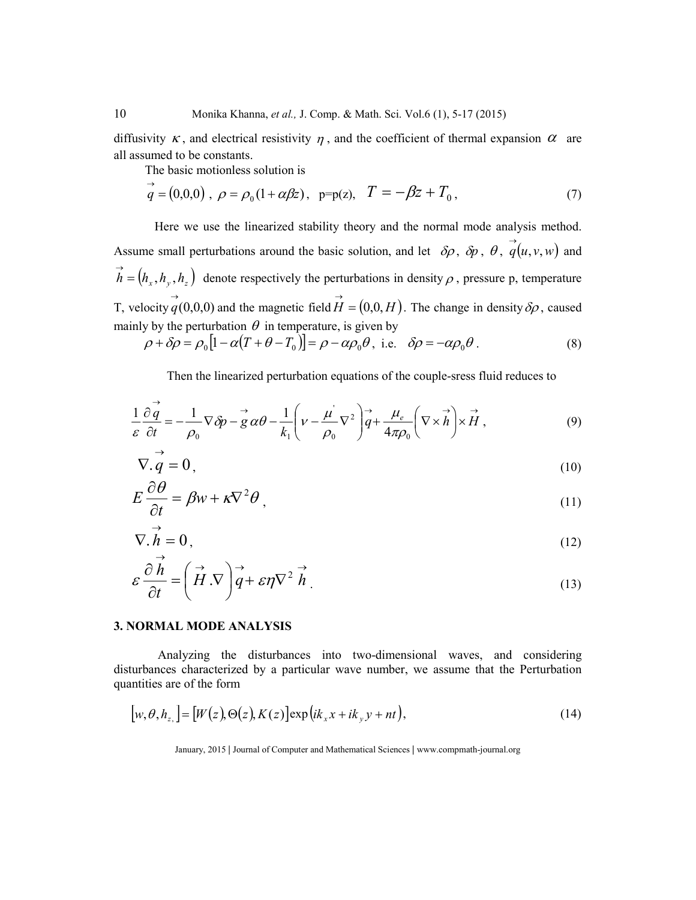diffusivity  $\kappa$ , and electrical resistivity  $\eta$ , and the coefficient of thermal expansion  $\alpha$  are all assumed to be constants.

The basic motionless solution is

$$
\vec{q} = (0,0,0), \ \rho = \rho_0 (1 + \alpha \beta z), \ \ p = p(z), \ \ T = -\beta z + T_0,
$$
\n(7)

 Here we use the linearized stability theory and the normal mode analysis method. Assume small perturbations around the basic solution, and let  $\delta \rho$ ,  $\delta p$ ,  $\theta$ ,  $\vec{q}(u, v, w)$  and  $\overrightarrow{h} = (h_x, h_y, h_z)$ denote respectively the perturbations in density  $\rho$ , pressure p, temperature T, velocity  $\vec{q}(0,0,0)$  and the magnetic field  $\vec{H} = (0,0,H)$ . The change in density  $\delta\rho$ , caused mainly by the perturbation  $\theta$  in temperature, is given by

$$
\rho + \delta \rho = \rho_0 \left[ 1 - \alpha (T + \theta - T_0) \right] = \rho - \alpha \rho_0 \theta, \text{ i.e. } \delta \rho = -\alpha \rho_0 \theta. \tag{8}
$$

Then the linearized perturbation equations of the couple-sress fluid reduces to

$$
\frac{1}{\varepsilon} \frac{\partial \vec{q}}{\partial t} = -\frac{1}{\rho_0} \nabla \delta p - \vec{g} \, \alpha \theta - \frac{1}{k_1} \left( \nu - \frac{\mu^2}{\rho_0} \nabla^2 \right) \vec{q} + \frac{\mu_e}{4\pi \rho_0} \left( \nabla \times \vec{h} \right) \times \vec{H} \,, \tag{9}
$$

$$
\nabla \cdot \vec{q} = 0, \tag{10}
$$

$$
E\frac{\partial \theta}{\partial t} = \beta w + \kappa \nabla^2 \theta \,, \tag{11}
$$

$$
\nabla \cdot \vec{h} = 0, \tag{12}
$$

$$
\varepsilon \frac{\partial \dot{h}}{\partial t} = \left( \vec{H} \cdot \nabla \right) \vec{q} + \varepsilon \eta \nabla^2 \vec{h} \tag{13}
$$

### **3. NORMAL MODE ANALYSIS**

 Analyzing the disturbances into two-dimensional waves, and considering disturbances characterized by a particular wave number, we assume that the Perturbation quantities are of the form

$$
[w, \theta, h_z] = [W(z), \Theta(z), K(z)] \exp\left(ik_x x + ik_y y + nt\right),\tag{14}
$$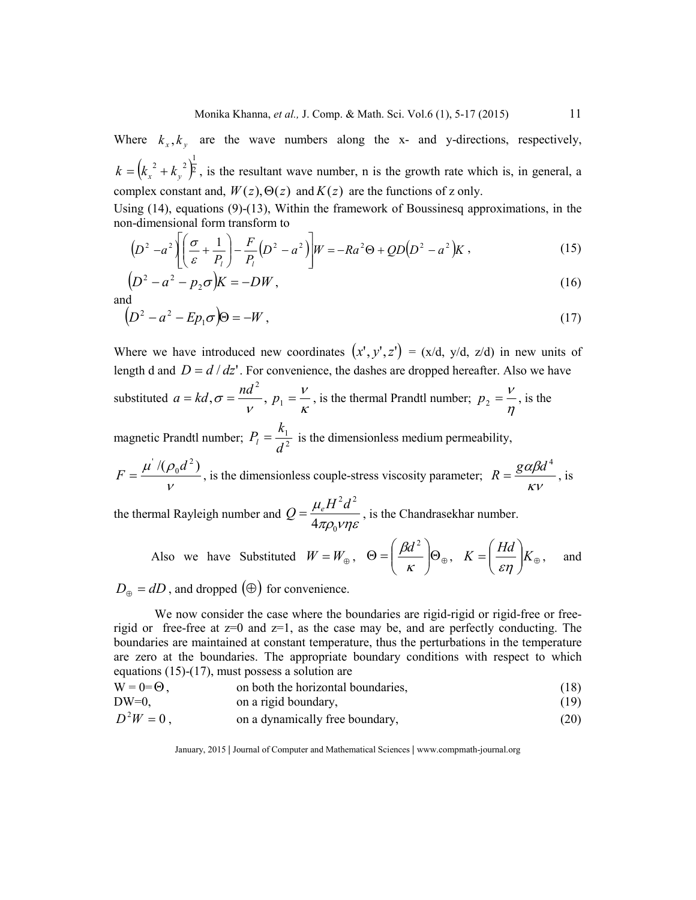Where  $k_x$ ,  $k_y$  are the wave numbers along the x- and y-directions, respectively,  $(k_r^2 + k_y^2)^2$ 2  $\binom{1}{2}$  $k = (k_x^2 + k_y^2)^2$ , is the resultant wave number, n is the growth rate which is, in general, a complex constant and,  $W(z)$ ,  $\Theta(z)$  and  $K(z)$  are the functions of z only.

Using  $(14)$ , equations  $(9)$ - $(13)$ , Within the framework of Boussinesq approximations, in the non-dimensional form transform to

$$
(D2 - a2) \left[ \left( \frac{\sigma}{\varepsilon} + \frac{1}{P_l} \right) - \frac{F}{P_l} (D^2 - a^2) \right] W = -Ra2 \Theta + QD(D2 - a2) K ,
$$
 (15)

$$
\left(D^2 - a^2 - p_2 \sigma\right) K = -DW,\tag{16}
$$

and

$$
\left(D^2 - a^2 - Ep_1\sigma\right)\Theta = -W\,,\tag{17}
$$

Where we have introduced new coordinates  $(x', y', z') = (x/d, y/d, z/d)$  in new units of length d and  $D = d/dz'$ . For convenience, the dashes are dropped hereafter. Also we have substituted  $a = kd$ ,  $\sigma = \frac{na}{n}$ , 2 ν  $a = kd, \sigma = \frac{nd^2}{v}, p_1 = \frac{v}{k}$  $p_1 = \frac{V}{K}$ , is the thermal Prandtl number;  $p_2 = \frac{V}{\eta}$  $p_2 = \frac{V}{I}$ , is the

magnetic Prandtl number;  $P_l = \frac{n_1}{d^2}$ *d*  $P_l = \frac{k_1}{l^2}$  is the dimensionless medium permeability,

ν  $\mu^{'}/(\rho_0 d^2)$  $F = \frac{\mu^{2}/(\rho_0 d^2)}{V}$ , is the dimensionless couple-stress viscosity parameter;  $R = \frac{g\alpha\beta c}{KV}$  $R = \frac{g \alpha \beta d^4}{g}$ , is

the thermal Rayleigh number and πρ $_0$ νηε  $\mu$  $\overline{0}$  $2J^2$ 4  $H^2d$  $Q = \frac{\mu_e H^2}{4}$ , is the Chandrasekhar number.

Also we have Substituted 
$$
W = W_{\oplus}
$$
,  $\Theta = \left(\frac{\beta d^2}{\kappa}\right) \Theta_{\oplus}$ ,  $K = \left(\frac{Hd}{\varepsilon \eta}\right) K_{\oplus}$ , and

 $D_{\oplus} = dD$ , and dropped  $(\oplus)$  for convenience.

 We now consider the case where the boundaries are rigid-rigid or rigid-free or freerigid or free-free at  $z=0$  and  $z=1$ , as the case may be, and are perfectly conducting. The boundaries are maintained at constant temperature, thus the perturbations in the temperature are zero at the boundaries. The appropriate boundary conditions with respect to which equations (15)-(17), must possess a solution are

$$
W = 0 = \Theta, \qquad \text{on both the horizontal boundaries,} \tag{18}
$$

DW=0, on a rigid boundary, (19)

$$
D2W = 0, \t\t on a dynamically free boundary, \t\t(20)
$$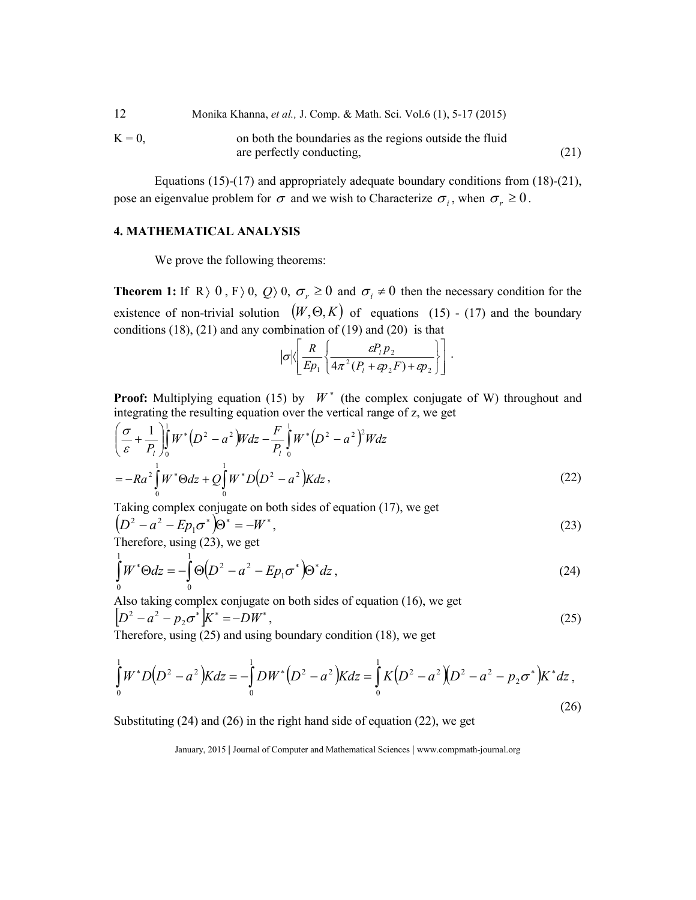| 12      | Monika Khanna, et al., J. Comp. & Math. Sci. Vol.6 (1), 5-17 (2015) |      |
|---------|---------------------------------------------------------------------|------|
| $K = 0$ | on both the boundaries as the regions outside the fluid             |      |
|         | are perfectly conducting,                                           | (21) |

 Equations (15)-(17) and appropriately adequate boundary conditions from (18)-(21), pose an eigenvalue problem for  $\sigma$  and we wish to Characterize  $\sigma_i$ , when  $\sigma_r \ge 0$ .

## **4. MATHEMATICAL ANALYSIS**

We prove the following theorems:

**Theorem 1:** If R  $\rangle$  0, F  $\rangle$  0, Q  $\rangle$  0,  $\sigma_r \ge 0$  and  $\sigma_i \ne 0$  then the necessary condition for the existence of non-trivial solution  $(W, \Theta, K)$  of equations (15) - (17) and the boundary conditions  $(18)$ ,  $(21)$  and any combination of  $(19)$  and  $(20)$  is that

$$
|\sigma|\left\langle \frac{R}{Ep_1} \left\{ \frac{\varepsilon P_1 p_2}{4\pi^2 (P_1 + \varepsilon p_2 F) + \varepsilon p_2} \right\} \right].
$$

**Proof:** Multiplying equation (15) by  $W^*$  (the complex conjugate of W) throughout and integrating the resulting equation over the vertical range of z, we get

$$
\left(\frac{\sigma}{\varepsilon} + \frac{1}{P_l}\right)_0^1 W^* \left(D^2 - a^2\right) W dz - \frac{F}{P_l} \int_0^1 W^* \left(D^2 - a^2\right)^2 W dz
$$
\n
$$
= -Ra^2 \int_0^1 W^* \Theta dz + Q \int_0^1 W^* D \left(D^2 - a^2\right) K dz \,, \tag{22}
$$

Taking complex conjugate on both sides of equation (17), we get

$$
(D2 - a2 - Ep1σ*)\Theta* = -W*,
$$
  
Thus for any  $(23)$  are set. (23)

Therefore, using (23), we get

$$
\int_{0}^{1} W^* \Theta dz = -\int_{0}^{1} \Theta \Big( D^2 - a^2 - E p_1 \sigma^* \Big) \Theta^* dz \,, \tag{24}
$$

Also taking complex conjugate on both sides of equation (16), we get  $\left[ D^2 - a^2 - p_2 \sigma^* \right] K^* = -D W^*$ , (25) Therefore, using  $(25)$  and using boundary condition (18), we get

$$
\int_{0}^{1} W^* D(D^2 - a^2) K dz = -\int_{0}^{1} DW^* (D^2 - a^2) K dz = \int_{0}^{1} K (D^2 - a^2) (D^2 - a^2 - p_2 \sigma^*) K^* dz,
$$
\n(26)

Substituting (24) and (26) in the right hand side of equation (22), we get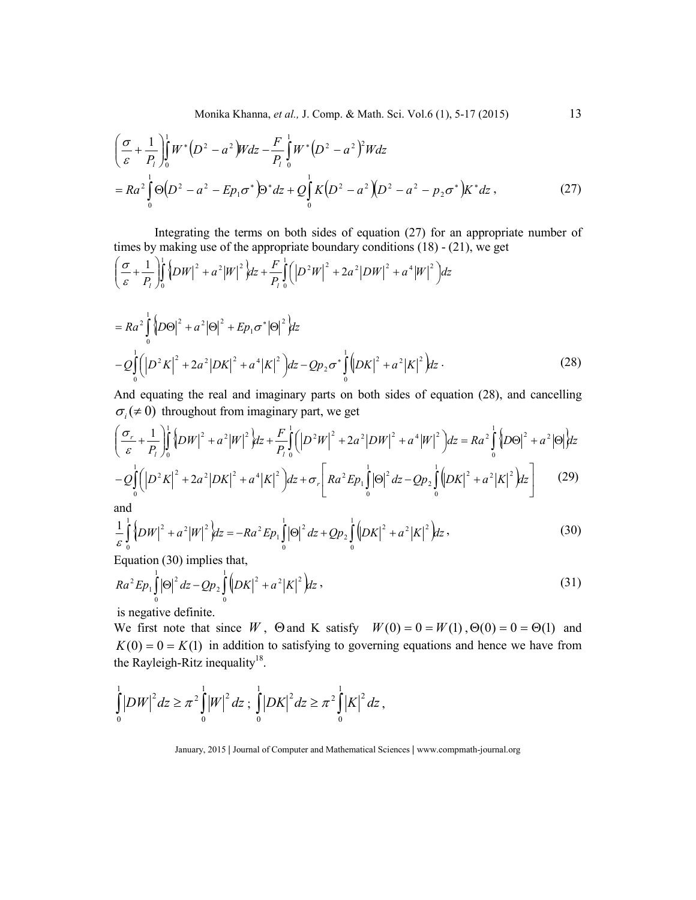Monika Khanna, *et al.,* J. Comp. & Math. Sci. Vol.6 (1), 5-17 (2015) 13

$$
\left(\frac{\sigma}{\varepsilon} + \frac{1}{P_l}\right)_0^1 W^* \left(D^2 - a^2\right) W dz - \frac{F}{P_l} \int_0^1 W^* \left(D^2 - a^2\right)^2 W dz
$$
\n
$$
= Ra^2 \int_0^1 \Theta \left(D^2 - a^2 - E p_1 \sigma^*\right) \Theta^* dz + Q \int_0^1 K \left(D^2 - a^2\right) \left(D^2 - a^2 - p_2 \sigma^*\right) K^* dz \,, \tag{27}
$$

 Integrating the terms on both sides of equation (27) for an appropriate number of times by making use of the appropriate boundary conditions (18) - (21), we get

$$
\left(\frac{\sigma}{\varepsilon} + \frac{1}{P_l}\right)_0^1 \left\{ D W \right\}^2 + a^2 |W|^2 \Big| dz + \frac{F}{P_l} \int_0^1 \left( \left| D^2 W \right|^2 + 2a^2 |DW|^2 + a^4 |W|^2 \right) dz
$$
\n
$$
= Ra^2 \int_0^1 \left\{ D \Theta \right\}^2 + a^2 |\Theta|^2 + E p_1 \sigma^* |\Theta|^2 \Big| dz
$$
\n
$$
-Q \int_0^1 \left( \left| D^2 K \right|^2 + 2a^2 |DK|^2 + a^4 |K|^2 \right) dz - Q p_2 \sigma^* \int_0^1 \left( |DK|^2 + a^2 |K|^2 \right) dz \,. \tag{28}
$$

And equating the real and imaginary parts on both sides of equation (28), and cancelling  $\sigma_i$ ( $\neq$  0) throughout from imaginary part, we get

$$
\left(\frac{\sigma_r}{\varepsilon} + \frac{1}{P_l}\right)_0^1 \left\{ D W \right\}^2 + a^2 |W|^2 \, dz + \frac{F}{P_l} \int_0^1 \left( |D^2 W|^2 + 2a^2 |DW|^2 + a^4 |W|^2 \right) dz = Ra^2 \int_0^1 \left( |D^2 K|^2 + 2a^2 |DK|^2 + a^4 |K|^2 \right) dz + \sigma_r \left[ Ra^2 E p_1 \int_0^1 |\Theta|^2 dz - Q p_2 \int_0^1 \left( |DK|^2 + a^2 |K|^2 \right) dz \right] \tag{29}
$$

and

$$
\frac{1}{\varepsilon} \int_{0}^{1} {\left\{ DW \right\}}^{2} + a^{2} |W|^{2} \, dz = -Ra^{2} E p_{1} \int_{0}^{1} |\Theta|^{2} \, dz + Q p_{2} \int_{0}^{1} {\left( DK \right|^{2} + a^{2} |K|^{2} \, }) dz \,, \tag{30}
$$

Equation (30) implies that,

$$
Ra^{2}Ep_{1}\int_{0}^{1}|\Theta|^{2} dz-Qp_{2}\int_{0}^{1}(DK|^{2}+a^{2}|K|^{2}) dz ,
$$
\n(31)

is negative definite.

We first note that since *W*,  $\Theta$  and K satisfy  $W(0) = 0 = W(1), \Theta(0) = 0 = \Theta(1)$  and  $K(0) = 0 = K(1)$  in addition to satisfying to governing equations and hence we have from the Rayleigh-Ritz inequality $^{18}$ .

$$
\int_{0}^{1} |DW|^2 dz \ge \pi^2 \int_{0}^{1} |W|^2 dz ; \int_{0}^{1} |DK|^2 dz \ge \pi^2 \int_{0}^{1} |K|^2 dz ,
$$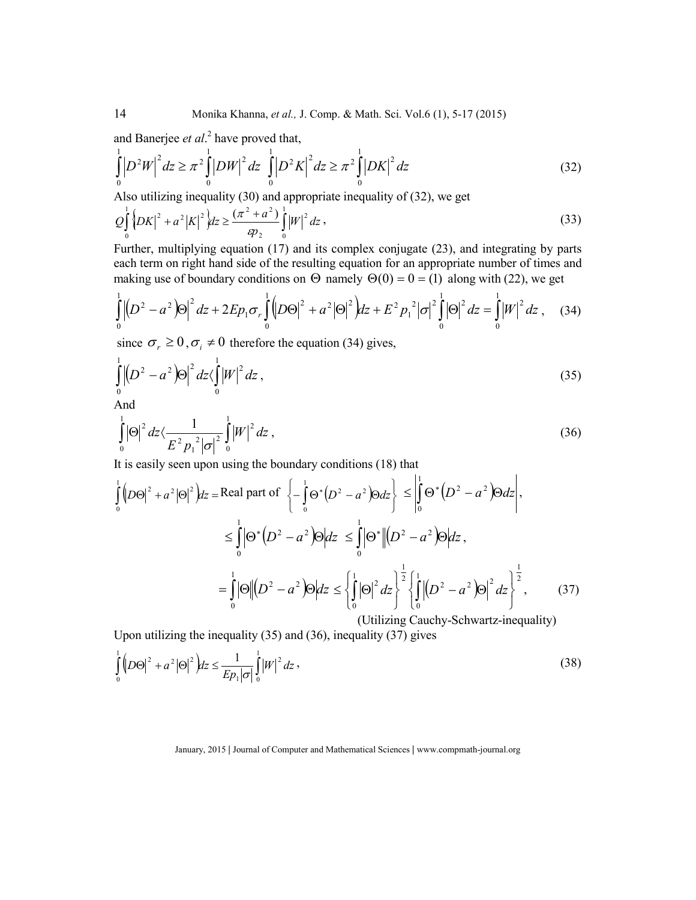and Banerjee *et al*. 2 have proved that,

$$
\int_{0}^{1} \left| D^{2}W \right|^{2} dz \ge \pi^{2} \int_{0}^{1} \left| DW \right|^{2} dz \int_{0}^{1} \left| D^{2}K \right|^{2} dz \ge \pi^{2} \int_{0}^{1} \left| DK \right|^{2} dz \tag{32}
$$

Also utilizing inequality (30) and appropriate inequality of (32), we get

$$
Q_0^{\frac{1}{2}}\left\{DX\right\}^2 + a^2|K|^2\right\}dz \ge \frac{(\pi^2 + a^2)}{sp_2} \int_0^1 |W|^2 dz \,,
$$
\n(33)

Further, multiplying equation (17) and its complex conjugate (23), and integrating by parts each term on right hand side of the resulting equation for an appropriate number of times and making use of boundary conditions on  $\Theta$  namely  $\Theta(0) = 0 = (1)$  along with (22), we get

$$
\int_{0}^{1} \left| \left( D^{2} - a^{2} \right) \Theta \right|^{2} dz + 2 E p_{1} \sigma_{r} \int_{0}^{1} \left( D \Theta \right|^{2} + a^{2} \left| \Theta \right|^{2} \right) dz + E^{2} p_{1}^{2} \left| \sigma \right|^{2} \int_{0}^{1} \left| \Theta \right|^{2} dz = \int_{0}^{1} \left| W \right|^{2} dz , \quad (34)
$$

since  $\sigma_r \ge 0$ ,  $\sigma_i \ne 0$  therefore the equation (34) gives,

$$
\int_{0}^{1} \left| \left( D^{2} - a^{2} \right) \Theta \right|^{2} dz \langle \int_{0}^{1} \left| W \right|^{2} dz , \tag{35}
$$

And

$$
\int_{0}^{1} |\Theta|^{2} dz \langle \frac{1}{E^{2} p_{1}^{2} |\sigma|^{2}} \int_{0}^{1} |W|^{2} dz , \qquad (36)
$$

 $\overline{1}$ 

It is easily seen upon using the boundary conditions (18) that

$$
\int_{0}^{1} (D\Theta)^{2} + a^{2} |\Theta|^{2} dz = \text{Real part of } \left\{ -\int_{0}^{1} \Theta^{*} (D^{2} - a^{2}) \Theta dz \right\} \leq \left| \int_{0}^{1} \Theta^{*} (D^{2} - a^{2}) \Theta dz \right|,
$$
\n
$$
\leq \int_{0}^{1} |\Theta^{*} (D^{2} - a^{2}) \Theta | dz \leq \int_{0}^{1} |\Theta^{*} | (D^{2} - a^{2}) \Theta | dz ,
$$
\n
$$
= \int_{0}^{1} |\Theta| | (D^{2} - a^{2}) \Theta | dz \leq \left\{ \int_{0}^{1} |\Theta|^{2} dz \right\}^{\frac{1}{2}} \left\{ \int_{0}^{1} | (D^{2} - a^{2}) \Theta |^{2} dz \right\}^{\frac{1}{2}} , \qquad (37)
$$
\n
$$
\text{(Utilizing Cauchy-Schwartz-inequality)}
$$

Upon utilizing the inequality (35) and (36), inequality (37) gives

$$
\int_{0}^{1} \left( D\Theta \right)^{2} + a^{2} \left| \Theta \right|^{2} \, dz \le \frac{1}{E p_{1} \left| \sigma \right|} \int_{0}^{1} \left| W \right|^{2} \, dz \,, \tag{38}
$$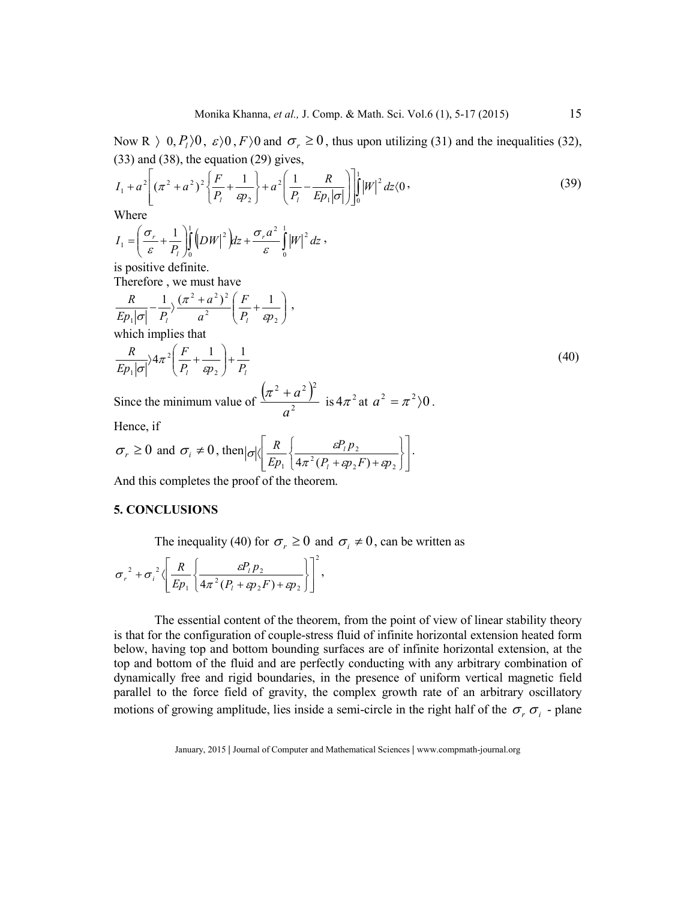Now R  $\rightarrow$  0,  $P_l$   $\rightarrow$  0,  $F$   $\rightarrow$  0 and  $\sigma_r \ge 0$ , thus upon utilizing (31) and the inequalities (32), (33) and (38), the equation (29) gives,

$$
I_1 + a^2 \left[ (\pi^2 + a^2)^2 \left\{ \frac{F}{P_l} + \frac{1}{\epsilon p_2} \right\} + a^2 \left( \frac{1}{P_l} - \frac{R}{E p_1 |\sigma|} \right) \right]_0^1 |W|^2 dz \langle 0,
$$
\n(39)

Where

$$
I_1 = \left(\frac{\sigma_r}{\varepsilon} + \frac{1}{P_t}\right)_0^1 \left(DW\right)^2 \, dz + \frac{\sigma_r a^2}{\varepsilon} \int_0^1 \left|W\right|^2 \, dz \, ,
$$

is positive definite.

Therefore , we must have

$$
\frac{R}{Ep_1|\sigma|} - \frac{1}{P_l} \frac{(\pi^2 + a^2)^2}{a^2} \left(\frac{F}{P_l} + \frac{1}{sp_2}\right),
$$
\nwhich implies that\n
$$
\frac{R}{Ep_1|\sigma|} \lambda \pi^2 \left(\frac{F}{P_l} + \frac{1}{sp_2}\right) + \frac{1}{P_l}
$$
\nSince the minimum value of  $(\pi^2 + a^2)^2$  is  $4\pi^2$  at  $a^2 = \pi^2 \setminus 0$ 

Since the minimum value of  $a^2$  $\frac{\pi^2 + a^2}{2}$  is  $4\pi^2$  at  $a^2 = \pi^2/0$ .

Hence, if

$$
\sigma_r \ge 0
$$
 and  $\sigma_i \ne 0$ , then  $|\sigma| \left\langle \frac{R}{Ep_1} \left\{ \frac{\varepsilon P_1 p_2}{4\pi^2 (P_1 + sp_2 F) + sp_2} \right\} \right\rangle$ .

And this completes the proof of the theorem.

## **5. CONCLUSIONS**

The inequality (40) for  $\sigma_r \ge 0$  and  $\sigma_i \ne 0$ , can be written as

$$
\sigma_r^2 + \sigma_i^2 \left\langle \left[ \frac{R}{Ep_1} \left\{ \frac{\varepsilon P_1 p_2}{4\pi^2 (P_1 + \varepsilon p_2 F) + \varepsilon p_2} \right\} \right]^2 \right\rangle,
$$

 The essential content of the theorem, from the point of view of linear stability theory is that for the configuration of couple-stress fluid of infinite horizontal extension heated form below, having top and bottom bounding surfaces are of infinite horizontal extension, at the top and bottom of the fluid and are perfectly conducting with any arbitrary combination of dynamically free and rigid boundaries, in the presence of uniform vertical magnetic field parallel to the force field of gravity, the complex growth rate of an arbitrary oscillatory motions of growing amplitude, lies inside a semi-circle in the right half of the  $\sigma_r \sigma_i$  - plane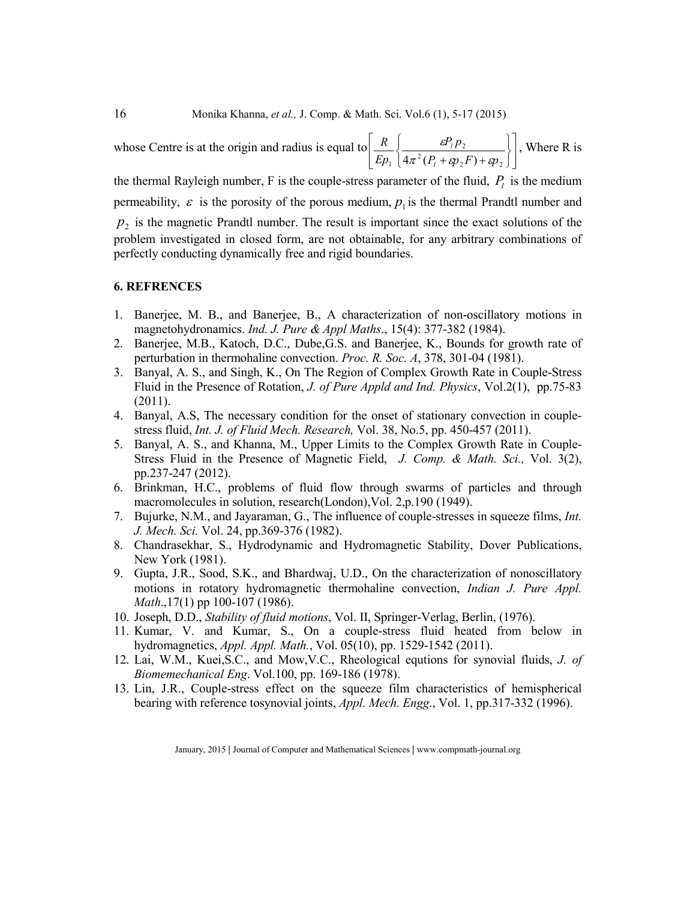whose Centre is at the origin and radius is equal to  $\overline{\phantom{a}}$  $\overline{\phantom{a}}$ J J  $\mathbf{r}$ L L L J  $\left\{ \right.$  $\begin{matrix} \end{matrix}$  $\overline{\mathcal{L}}$ ⇃  $\int$  $^{2}(P_{1} + \epsilon p_{2}F) + \epsilon p_{2}$ 2  $\eta_1$   $\left(4\pi^2(P_1 + \epsilon p_2 F) + \epsilon p_1\right)$ *pP Ep R l l*  $\pi$   $(P_1 + \varepsilon p_2 F) + \varepsilon p$  $\mathcal{E}_{1}^{P_{1}P_{2}}$  |, Where R is

the thermal Rayleigh number, F is the couple-stress parameter of the fluid,  $P_l$  is the medium permeability,  $\varepsilon$  is the porosity of the porous medium,  $p_1$  is the thermal Prandtl number and  $p<sub>2</sub>$  is the magnetic Prandtl number. The result is important since the exact solutions of the problem investigated in closed form, are not obtainable, for any arbitrary combinations of perfectly conducting dynamically free and rigid boundaries.

## **6. REFRENCES**

- 1. Banerjee, M. B., and Banerjee, B., A characterization of non-oscillatory motions in magnetohydronamics. *Ind. J. Pure & Appl Maths*., 15(4): 377-382 (1984).
- 2. Banerjee, M.B., Katoch, D.C., Dube,G.S. and Banerjee, K., Bounds for growth rate of perturbation in thermohaline convection. *Proc. R. Soc. A*, 378, 301-04 (1981).
- 3. Banyal, A. S., and Singh, K., On The Region of Complex Growth Rate in Couple-Stress Fluid in the Presence of Rotation, *J. of Pure Appld and Ind. Physics*, Vol.2(1), pp.75-83 (2011).
- 4. Banyal, A.S, The necessary condition for the onset of stationary convection in couplestress fluid, *Int. J. of Fluid Mech. Research,* Vol. 38, No.5, pp. 450-457 (2011).
- 5. Banyal, A. S., and Khanna, M., Upper Limits to the Complex Growth Rate in Couple-Stress Fluid in the Presence of Magnetic Field, *J. Comp. & Math. Sci.,* Vol. 3(2), pp.237-247 (2012).
- 6. Brinkman, H.C., problems of fluid flow through swarms of particles and through macromolecules in solution, research(London),Vol. 2,p.190 (1949).
- 7. Bujurke, N.M., and Jayaraman, G., The influence of couple-stresses in squeeze films, *Int. J. Mech. Sci.* Vol. 24, pp.369-376 (1982).
- 8. Chandrasekhar, S., Hydrodynamic and Hydromagnetic Stability, Dover Publications, New York (1981).
- 9. Gupta, J.R., Sood, S.K., and Bhardwaj, U.D., On the characterization of nonoscillatory motions in rotatory hydromagnetic thermohaline convection, *Indian J. Pure Appl. Math*.,17(1) pp 100-107 (1986).
- 10. Joseph, D.D., *Stability of fluid motions*, Vol. II, Springer-Verlag, Berlin, (1976).
- 11. Kumar, V. and Kumar, S., On a couple-stress fluid heated from below in hydromagnetics, *Appl. Appl. Math.*, Vol. 05(10), pp. 1529-1542 (2011).
- 12. Lai, W.M., Kuei,S.C., and Mow,V.C., Rheological equtions for synovial fluids, *J. of Biomemechanical Eng*. Vol.100, pp. 169-186 (1978).
- 13. Lin, J.R., Couple-stress effect on the squeeze film characteristics of hemispherical bearing with reference tosynovial joints, *Appl. Mech. Engg*., Vol. 1, pp.317-332 (1996).